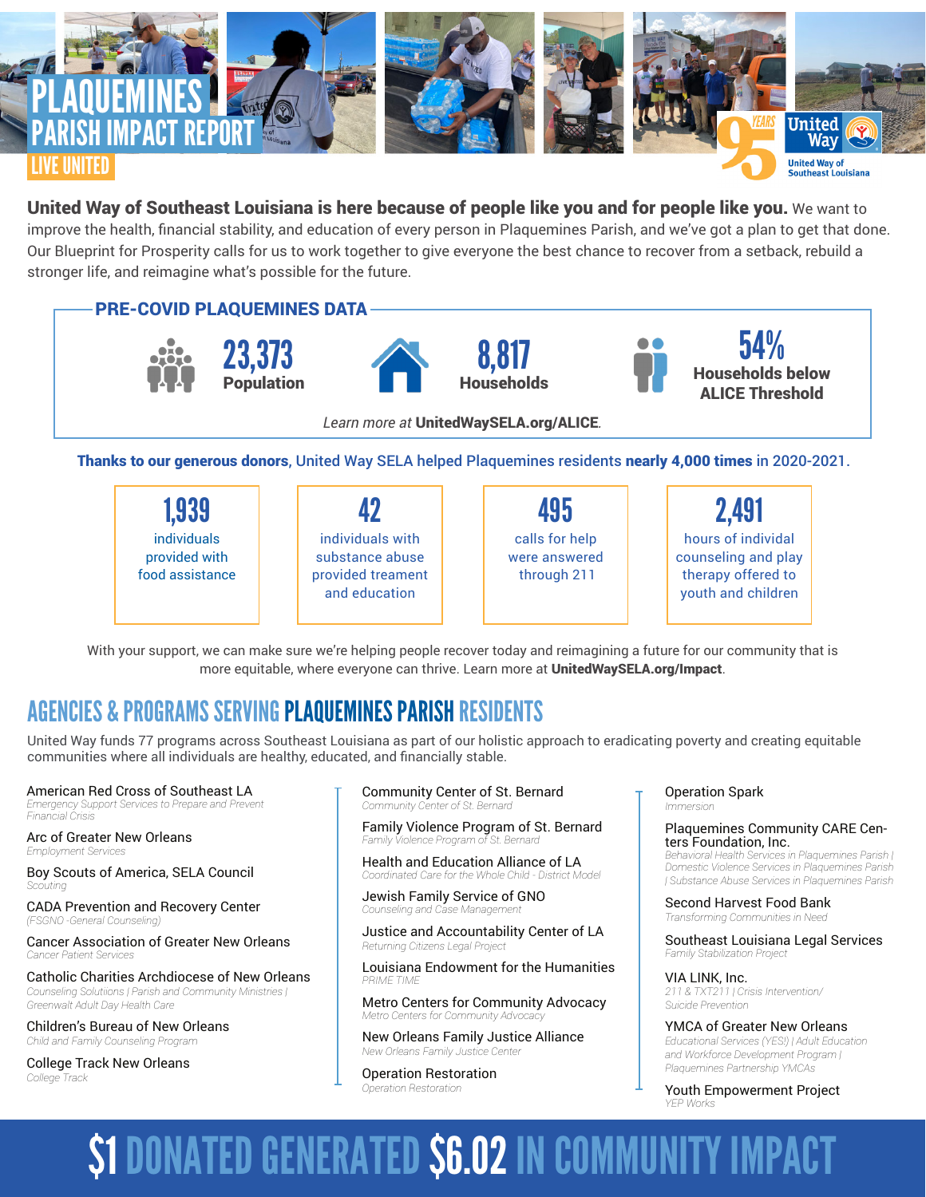

## United Way of Southeast Louisiana is here because of people like you and for people like you. We want to

improve the health, financial stability, and education of every person in Plaquemines Parish, and we've got a plan to get that done. Our Blueprint for Prosperity calls for us to work together to give everyone the best chance to recover from a setback, rebuild a stronger life, and reimagine what's possible for the future.



Thanks to our generous donors, United Way SELA helped Plaquemines residents nearly 4,000 times in 2020-2021.

| 1,939                                           |                                                                           | 495                                            | 2,491                                                                                 |
|-------------------------------------------------|---------------------------------------------------------------------------|------------------------------------------------|---------------------------------------------------------------------------------------|
| individuals<br>provided with<br>food assistance | individuals with<br>substance abuse<br>provided treament<br>and education | calls for help<br>were answered<br>through 211 | hours of individal<br>counseling and play<br>therapy offered to<br>youth and children |

With your support, we can make sure we're helping people recover today and reimagining a future for our community that is more equitable, where everyone can thrive. Learn more at UnitedWaySELA.org/Impact.

## AGENCIES & PROGRAMS SERVING PLAQUEMINES PARISH RESIDENTS

United Way funds 77 programs across Southeast Louisiana as part of our holistic approach to eradicating poverty and creating equitable communities where all individuals are healthy, educated, and financially stable.

American Red Cross of Southeast LA *Emergency Support Services to Prepare and Prevent Financial Crisis*

Arc of Greater New Orleans *Employment Services*

Boy Scouts of America, SELA Council *Scouting*

CADA Prevention and Recovery Center *(FSGNO -General Counseling)*

Cancer Association of Greater New Orleans *Cancer Patient Services*

Catholic Charities Archdiocese of New Orleans *Counseling Solutiions | Parish and Community Ministries | Greenwalt Adult Day Health Care*

Children's Bureau of New Orleans *Child and Family Counseling Program*

College Track New Orleans *College Track*

### Community Center of St. Bernard *Community Center of St. Bernard*

Family Violence Program of St. Bernard *Family Violence Program of St. Bernard* 

Health and Education Alliance of LA *Coordinated Care for the Whole Child - District Model*

Jewish Family Service of GNO *Counseling and Case Management*

Justice and Accountability Center of LA *Returning Citizens Legal Project*

Louisiana Endowment for the Humanities *PRIME TIME*

Metro Centers for Community Advocacy *Metro Centers for Community Advocacy*

New Orleans Family Justice Alliance *New Orleans Family Justice Center*

Operation Restoration *Operation Restoration*

Operation Spark *Immersion*

> Plaquemines Community CARE Cen- ters Foundation, Inc. *Behavioral Health Services in Plaquemines Parish |*

> *Domestic Violence Services in Plaquemines Parish | Substance Abuse Services in Plaquemines Parish*

Second Harvest Food Bank *Transforming Communities in Need*

Southeast Louisiana Legal Services *Family Stabilization Project*

VIA LINK, Inc. *211 & TXT211 | Crisis Intervention/ Suicide Prevention*

YMCA of Greater New Orleans *Educational Services (YES!) | Adult Education and Workforce Development Program | Plaquemines Partnership YMCAs*

Youth Empowerment Project *YEP Works*

# \$1 DONATED GENERATED \$6.02 IN COMMUNITY IMPACT